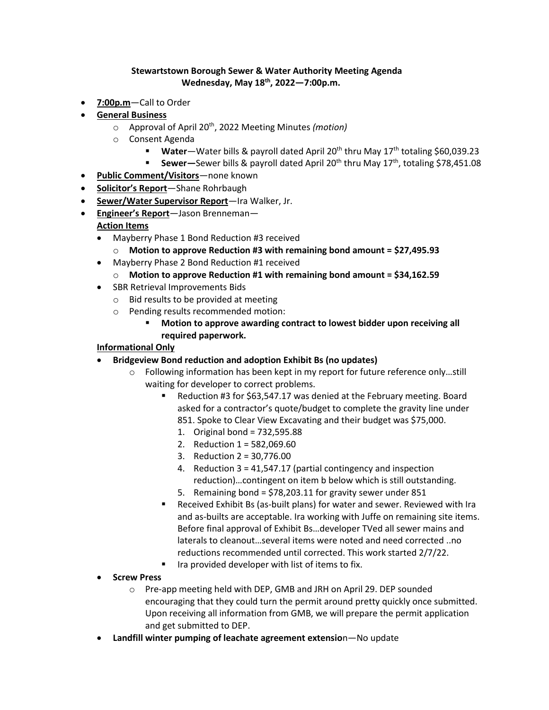## **Stewartstown Borough Sewer & Water Authority Meeting Agenda Wednesday, May 18th , 2022—7:00p.m.**

- **7:00p.m**—Call to Order
- **General Business**
	- o Approval of April 20th , 2022 Meeting Minutes *(motion)*
	- o Consent Agenda
		- Water—Water bills & payroll dated April 20<sup>th</sup> thru May 17<sup>th</sup> totaling \$60,039.23
		- **Sewer**—Sewer bills & payroll dated April 20<sup>th</sup> thru May 17<sup>th</sup>, totaling \$78,451.08
- **Public Comment/Visitors**—none known
- **Solicitor's Report**—Shane Rohrbaugh
- **Sewer/Water Supervisor Report**—Ira Walker, Jr.
- **Engineer's Report**—Jason Brenneman— **Action Items**
	- Mayberry Phase 1 Bond Reduction #3 received
		- o **Motion to approve Reduction #3 with remaining bond amount = \$27,495.93**
	- Mayberry Phase 2 Bond Reduction #1 received
		- o **Motion to approve Reduction #1 with remaining bond amount = \$34,162.59**
	- SBR Retrieval Improvements Bids
		- o Bid results to be provided at meeting
		- o Pending results recommended motion:
			- **Motion to approve awarding contract to lowest bidder upon receiving all required paperwork.**

## **Informational Only**

- **Bridgeview Bond reduction and adoption Exhibit Bs (no updates)**
	- $\circ$  Following information has been kept in my report for future reference only...still waiting for developer to correct problems.
		- Reduction #3 for \$63,547.17 was denied at the February meeting. Board asked for a contractor's quote/budget to complete the gravity line under 851. Spoke to Clear View Excavating and their budget was \$75,000.
			- 1. Original bond = 732,595.88
			- 2. Reduction 1 = 582,069.60
			- 3. Reduction 2 = 30,776.00
			- 4. Reduction 3 = 41,547.17 (partial contingency and inspection reduction)…contingent on item b below which is still outstanding.
			- 5. Remaining bond = \$78,203.11 for gravity sewer under 851
		- Received Exhibit Bs (as-built plans) for water and sewer. Reviewed with Ira and as-builts are acceptable. Ira working with Juffe on remaining site items. Before final approval of Exhibit Bs…developer TVed all sewer mains and laterals to cleanout…several items were noted and need corrected ..no reductions recommended until corrected. This work started 2/7/22.
		- Ira provided developer with list of items to fix.
- **Screw Press**
	- o Pre-app meeting held with DEP, GMB and JRH on April 29. DEP sounded encouraging that they could turn the permit around pretty quickly once submitted. Upon receiving all information from GMB, we will prepare the permit application and get submitted to DEP.
- **Landfill winter pumping of leachate agreement extensio**n—No update